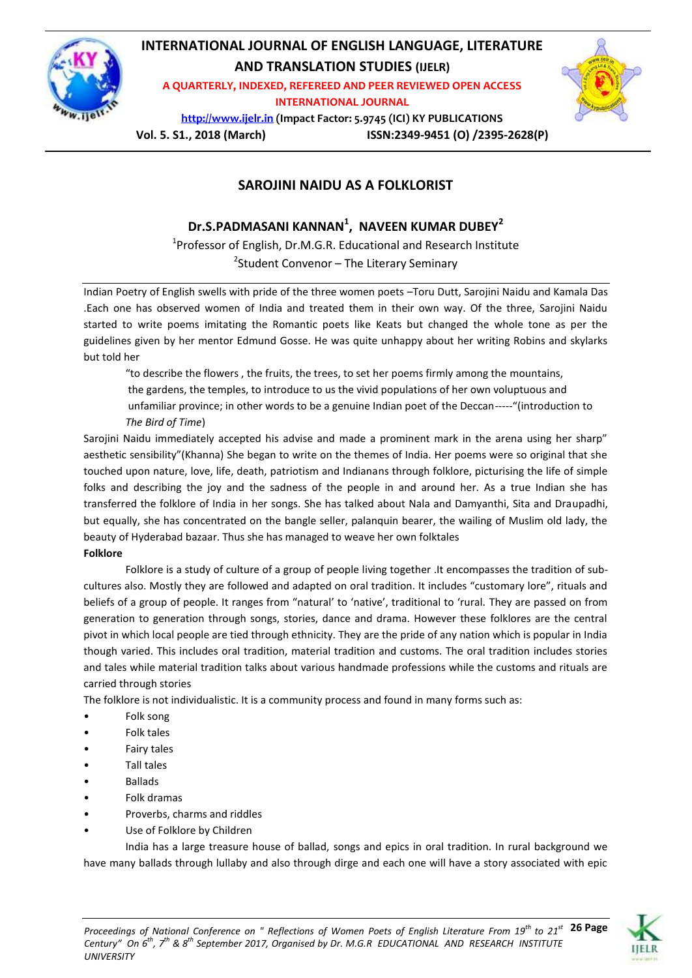

# **INTERNATIONAL JOURNAL OF ENGLISH LANGUAGE, LITERATURE AND TRANSLATION STUDIES (IJELR)**

**A QUARTERLY, INDEXED, REFEREED AND PEER REVIEWED OPEN ACCESS INTERNATIONAL JOURNAL**



**[http://www.ijelr.in](http://www.ijelr.in/) (Impact Factor: 5.9745 (ICI) KY PUBLICATIONS**

**Vol. 5. S1., 2018 (March) ISSN:2349-9451 (O) /2395-2628(P)**

# **SAROJINI NAIDU AS A FOLKLORIST**

# **Dr.S.PADMASANI KANNAN<sup>1</sup> , NAVEEN KUMAR DUBEY<sup>2</sup>**

<sup>1</sup>Professor of English, Dr.M.G.R. Educational and Research Institute <sup>2</sup>Student Convenor – The Literary Seminary

Indian Poetry of English swells with pride of the three women poets –Toru Dutt, Sarojini Naidu and Kamala Das .Each one has observed women of India and treated them in their own way. Of the three, Sarojini Naidu started to write poems imitating the Romantic poets like Keats but changed the whole tone as per the guidelines given by her mentor Edmund Gosse. He was quite unhappy about her writing Robins and skylarks but told her

 "to describe the flowers , the fruits, the trees, to set her poems firmly among the mountains, the gardens, the temples, to introduce to us the vivid populations of her own voluptuous and unfamiliar province; in other words to be a genuine Indian poet of the Deccan-----"(introduction to *The Bird of Time*)

Sarojini Naidu immediately accepted his advise and made a prominent mark in the arena using her sharp" aesthetic sensibility"(Khanna) She began to write on the themes of India. Her poems were so original that she touched upon nature, love, life, death, patriotism and Indianans through folklore, picturising the life of simple folks and describing the joy and the sadness of the people in and around her. As a true Indian she has transferred the folklore of India in her songs. She has talked about Nala and Damyanthi, Sita and Draupadhi, but equally, she has concentrated on the bangle seller, palanquin bearer, the wailing of Muslim old lady, the beauty of Hyderabad bazaar. Thus she has managed to weave her own folktales

## **Folklore**

Folklore is a study of culture of a group of people living together .It encompasses the tradition of subcultures also. Mostly they are followed and adapted on oral tradition. It includes "customary lore", rituals and beliefs of a group of people. It ranges from "natural' to 'native', traditional to 'rural. They are passed on from generation to generation through songs, stories, dance and drama. However these folklores are the central pivot in which local people are tied through ethnicity. They are the pride of any nation which is popular in India though varied. This includes oral tradition, material tradition and customs. The oral tradition includes stories and tales while material tradition talks about various handmade professions while the customs and rituals are carried through stories

The folklore is not individualistic. It is a community process and found in many forms such as:

- Folk song
- Folk tales
- Fairy tales
- Tall tales
- Ballads
- Folk dramas
- Proverbs, charms and riddles
- Use of Folklore by Children

India has a large treasure house of ballad, songs and epics in oral tradition. In rural background we have many ballads through lullaby and also through dirge and each one will have a story associated with epic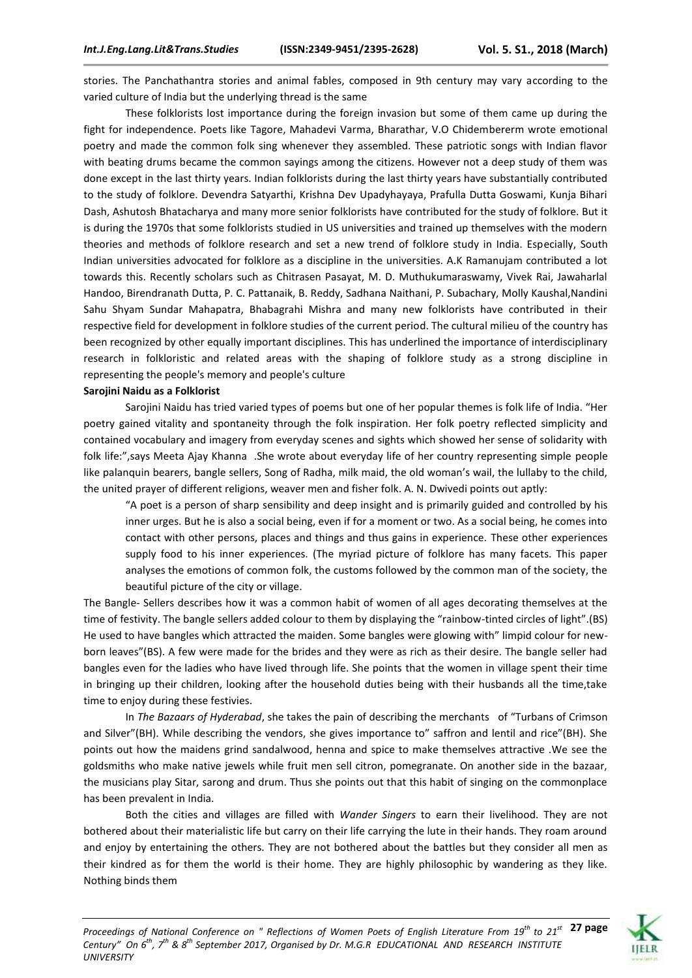stories. The Panchathantra stories and animal fables, composed in 9th century may vary according to the varied culture of India but the underlying thread is the same

These folklorists lost importance during the foreign invasion but some of them came up during the fight for independence. Poets like Tagore, Mahadevi Varma, Bharathar, V.O Chidembererm wrote emotional poetry and made the common folk sing whenever they assembled. These patriotic songs with Indian flavor with beating drums became the common sayings among the citizens. However not a deep study of them was done except in the last thirty years. Indian folklorists during the last thirty years have substantially contributed to the study of folklore. Devendra Satyarthi, Krishna Dev Upadyhayaya, Prafulla Dutta Goswami, Kunja Bihari Dash, Ashutosh Bhatacharya and many more senior folklorists have contributed for the study of folklore. But it is during the 1970s that some folklorists studied in US universities and trained up themselves with the modern theories and methods of folklore research and set a new trend of folklore study in India. Especially, South Indian universities advocated for folklore as a discipline in the universities. A.K Ramanujam contributed a lot towards this. Recently scholars such as Chitrasen Pasayat, M. D. Muthukumaraswamy, Vivek Rai, Jawaharlal Handoo, Birendranath Dutta, P. C. Pattanaik, B. Reddy, Sadhana Naithani, P. Subachary, Molly Kaushal,Nandini Sahu Shyam Sundar Mahapatra, Bhabagrahi Mishra and many new folklorists have contributed in their respective field for development in folklore studies of the current period. The cultural milieu of the country has been recognized by other equally important disciplines. This has underlined the importance of interdisciplinary research in folkloristic and related areas with the shaping of folklore study as a strong discipline in representing the people's memory and people's culture

#### **Sarojini Naidu as a Folklorist**

*UNIVERSITY*

Sarojini Naidu has tried varied types of poems but one of her popular themes is folk life of India. "Her poetry gained vitality and spontaneity through the folk inspiration. Her folk poetry reflected simplicity and contained vocabulary and imagery from everyday scenes and sights which showed her sense of solidarity with folk life:",says Meeta Ajay Khanna .She wrote about everyday life of her country representing simple people like palanquin bearers, bangle sellers, Song of Radha, milk maid, the old woman's wail, the lullaby to the child, the united prayer of different religions, weaver men and fisher folk. A. N. Dwivedi points out aptly:

"A poet is a person of sharp sensibility and deep insight and is primarily guided and controlled by his inner urges. But he is also a social being, even if for a moment or two. As a social being, he comes into contact with other persons, places and things and thus gains in experience. These other experiences supply food to his inner experiences. (The myriad picture of folklore has many facets. This paper analyses the emotions of common folk, the customs followed by the common man of the society, the beautiful picture of the city or village.

The Bangle- Sellers describes how it was a common habit of women of all ages decorating themselves at the time of festivity. The bangle sellers added colour to them by displaying the "rainbow-tinted circles of light".(BS) He used to have bangles which attracted the maiden. Some bangles were glowing with" limpid colour for newborn leaves"(BS). A few were made for the brides and they were as rich as their desire. The bangle seller had bangles even for the ladies who have lived through life. She points that the women in village spent their time in bringing up their children, looking after the household duties being with their husbands all the time,take time to enjoy during these festivies.

In *The Bazaars of Hyderabad*, she takes the pain of describing the merchants of "Turbans of Crimson and Silver"(BH). While describing the vendors, she gives importance to" saffron and lentil and rice"(BH). She points out how the maidens grind sandalwood, henna and spice to make themselves attractive .We see the goldsmiths who make native jewels while fruit men sell citron, pomegranate. On another side in the bazaar, the musicians play Sitar, sarong and drum. Thus she points out that this habit of singing on the commonplace has been prevalent in India.

Both the cities and villages are filled with *Wander Singers* to earn their livelihood. They are not bothered about their materialistic life but carry on their life carrying the lute in their hands. They roam around and enjoy by entertaining the others. They are not bothered about the battles but they consider all men as their kindred as for them the world is their home. They are highly philosophic by wandering as they like. Nothing binds them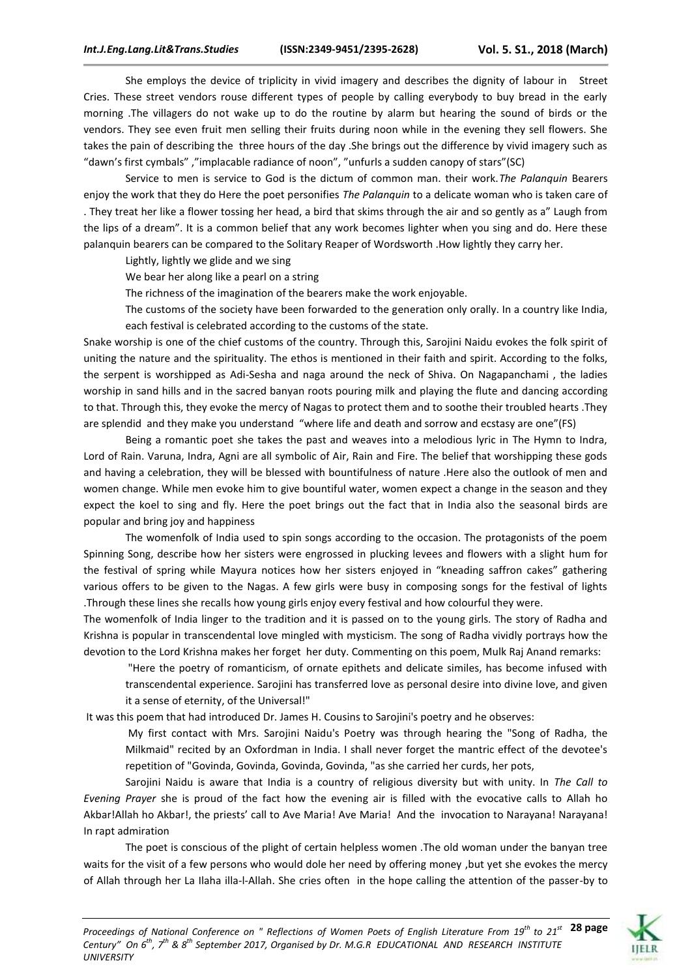She employs the device of triplicity in vivid imagery and describes the dignity of labour in Street Cries. These street vendors rouse different types of people by calling everybody to buy bread in the early morning .The villagers do not wake up to do the routine by alarm but hearing the sound of birds or the vendors. They see even fruit men selling their fruits during noon while in the evening they sell flowers. She takes the pain of describing the three hours of the day .She brings out the difference by vivid imagery such as "dawn's first cymbals" ,"implacable radiance of noon", "unfurls a sudden canopy of stars"(SC)

Service to men is service to God is the dictum of common man. their work.*The Palanquin* Bearers enjoy the work that they do Here the poet personifies *The Palanquin* to a delicate woman who is taken care of . They treat her like a flower tossing her head, a bird that skims through the air and so gently as a" Laugh from the lips of a dream". It is a common belief that any work becomes lighter when you sing and do. Here these palanquin bearers can be compared to the Solitary Reaper of Wordsworth .How lightly they carry her.

Lightly, lightly we glide and we sing

We bear her along like a pearl on a string

The richness of the imagination of the bearers make the work enjoyable.

The customs of the society have been forwarded to the generation only orally. In a country like India, each festival is celebrated according to the customs of the state.

Snake worship is one of the chief customs of the country. Through this, Sarojini Naidu evokes the folk spirit of uniting the nature and the spirituality. The ethos is mentioned in their faith and spirit. According to the folks, the serpent is worshipped as Adi-Sesha and naga around the neck of Shiva. On Nagapanchami , the ladies worship in sand hills and in the sacred banyan roots pouring milk and playing the flute and dancing according to that. Through this, they evoke the mercy of Nagas to protect them and to soothe their troubled hearts .They are splendid and they make you understand "where life and death and sorrow and ecstasy are one"(FS)

Being a romantic poet she takes the past and weaves into a melodious lyric in The Hymn to Indra, Lord of Rain. Varuna, Indra, Agni are all symbolic of Air, Rain and Fire. The belief that worshipping these gods and having a celebration, they will be blessed with bountifulness of nature .Here also the outlook of men and women change. While men evoke him to give bountiful water, women expect a change in the season and they expect the koel to sing and fly. Here the poet brings out the fact that in India also the seasonal birds are popular and bring joy and happiness

The womenfolk of India used to spin songs according to the occasion. The protagonists of the poem Spinning Song, describe how her sisters were engrossed in plucking levees and flowers with a slight hum for the festival of spring while Mayura notices how her sisters enjoyed in "kneading saffron cakes" gathering various offers to be given to the Nagas. A few girls were busy in composing songs for the festival of lights .Through these lines she recalls how young girls enjoy every festival and how colourful they were.

The womenfolk of India linger to the tradition and it is passed on to the young girls. The story of Radha and Krishna is popular in transcendental love mingled with mysticism. The song of Radha vividly portrays how the devotion to the Lord Krishna makes her forget her duty. Commenting on this poem, Mulk Raj Anand remarks:

"Here the poetry of romanticism, of ornate epithets and delicate similes, has become infused with transcendental experience. Sarojini has transferred love as personal desire into divine love, and given it a sense of eternity, of the Universal!"

It was this poem that had introduced Dr. James H. Cousins to Sarojini's poetry and he observes:

My first contact with Mrs. Sarojini Naidu's Poetry was through hearing the "Song of Radha, the Milkmaid" recited by an Oxfordman in India. I shall never forget the mantric effect of the devotee's repetition of "Govinda, Govinda, Govinda, Govinda, "as she carried her curds, her pots,

Sarojini Naidu is aware that India is a country of religious diversity but with unity. In *The Call to Evening Prayer* she is proud of the fact how the evening air is filled with the evocative calls to Allah ho Akbar!Allah ho Akbar!, the priests' call to Ave Maria! Ave Maria! And the invocation to Narayana! Narayana! In rapt admiration

The poet is conscious of the plight of certain helpless women .The old woman under the banyan tree waits for the visit of a few persons who would dole her need by offering money ,but yet she evokes the mercy of Allah through her La Ilaha illa-l-Allah. She cries often in the hope calling the attention of the passer-by to

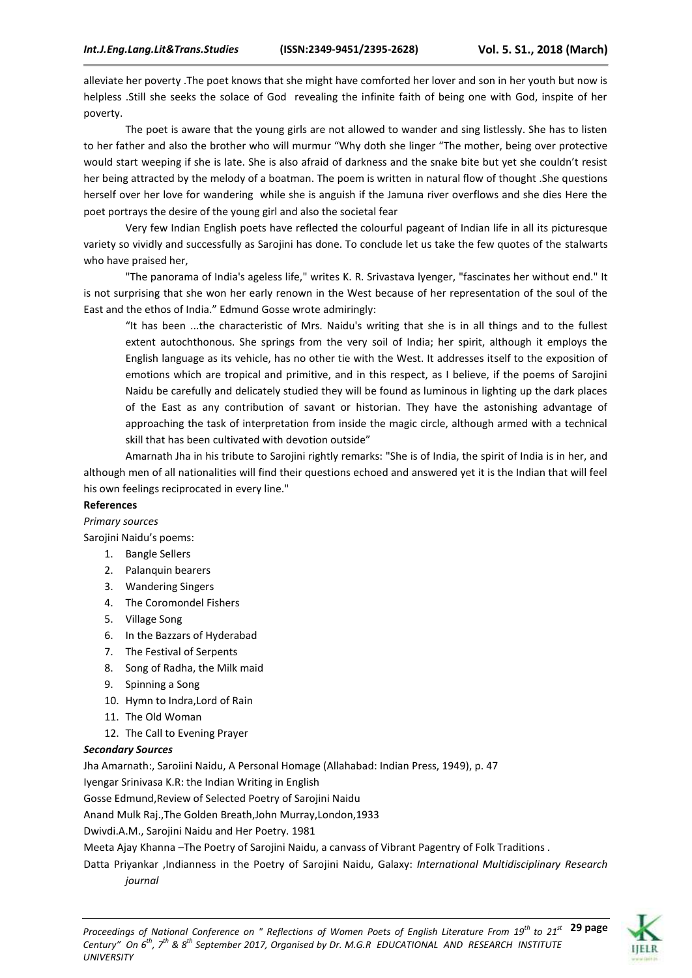alleviate her poverty .The poet knows that she might have comforted her lover and son in her youth but now is helpless .Still she seeks the solace of God revealing the infinite faith of being one with God, inspite of her poverty.

The poet is aware that the young girls are not allowed to wander and sing listlessly. She has to listen to her father and also the brother who will murmur "Why doth she linger "The mother, being over protective would start weeping if she is late. She is also afraid of darkness and the snake bite but yet she couldn't resist her being attracted by the melody of a boatman. The poem is written in natural flow of thought .She questions herself over her love for wandering while she is anguish if the Jamuna river overflows and she dies Here the poet portrays the desire of the young girl and also the societal fear

Very few Indian English poets have reflected the colourful pageant of Indian life in all its picturesque variety so vividly and successfully as Sarojini has done. To conclude let us take the few quotes of the stalwarts who have praised her,

"The panorama of India's ageless life," writes K. R. Srivastava lyenger, "fascinates her without end." It is not surprising that she won her early renown in the West because of her representation of the soul of the East and the ethos of India." Edmund Gosse wrote admiringly:

"It has been ...the characteristic of Mrs. Naidu's writing that she is in all things and to the fullest extent autochthonous. She springs from the very soil of India; her spirit, although it employs the English language as its vehicle, has no other tie with the West. It addresses itself to the exposition of emotions which are tropical and primitive, and in this respect, as I believe, if the poems of Sarojini Naidu be carefully and delicately studied they will be found as luminous in lighting up the dark places of the East as any contribution of savant or historian. They have the astonishing advantage of approaching the task of interpretation from inside the magic circle, although armed with a technical skill that has been cultivated with devotion outside"

Amarnath Jha in his tribute to Sarojini rightly remarks: "She is of India, the spirit of India is in her, and although men of all nationalities will find their questions echoed and answered yet it is the Indian that will feel his own feelings reciprocated in every line."

## **References**

*Primary sources*

Sarojini Naidu's poems:

- 1. Bangle Sellers
- 2. Palanquin bearers
- 3. Wandering Singers
- 4. The Coromondel Fishers
- 5. Village Song
- 6. In the Bazzars of Hyderabad
- 7. The Festival of Serpents
- 8. Song of Radha, the Milk maid
- 9. Spinning a Song
- 10. Hymn to Indra,Lord of Rain
- 11. The Old Woman
- 12. The Call to Evening Prayer

## *Secondary Sources*

Jha Amarnath:, Saroiini Naidu, A Personal Homage (Allahabad: Indian Press, 1949), p. 47

Iyengar Srinivasa K.R: the Indian Writing in English

Gosse Edmund,Review of Selected Poetry of Sarojini Naidu

Anand Mulk Raj.,The Golden Breath,John Murray,London,1933

Dwivdi.A.M., Sarojini Naidu and Her Poetry. 1981

Meeta Ajay Khanna –The Poetry of Sarojini Naidu, a canvass of Vibrant Pagentry of Folk Traditions .

Datta Priyankar ,Indianness in the Poetry of Sarojini Naidu, Galaxy: *International Multidisciplinary Research journal*